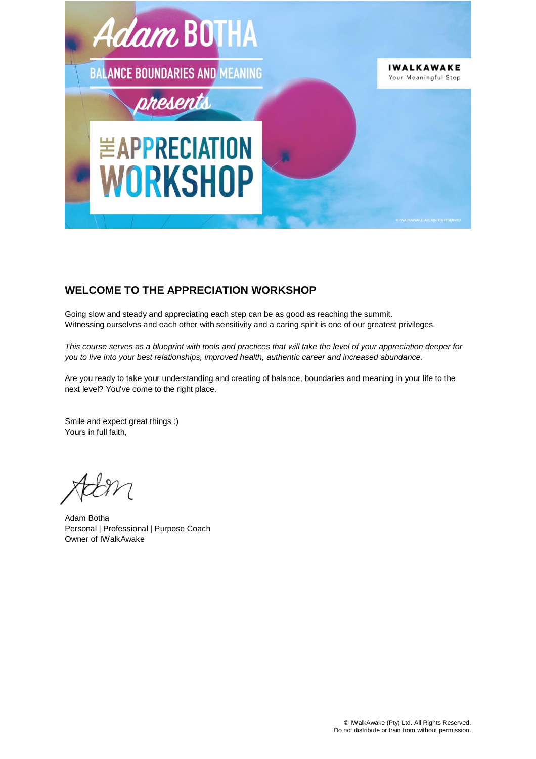

# **WELCOME TO THE APPRECIATION WORKSHOP**

Going slow and steady and appreciating each step can be as good as reaching the summit. Witnessing ourselves and each other with sensitivity and a caring spirit is one of our greatest privileges.

*This course serves as a blueprint with tools and practices that will take the level of your appreciation deeper for you to live into your best relationships, improved health, authentic career and increased abundance.*

Are you ready to take your understanding and creating of balance, boundaries and meaning in your life to the next level? You've come to the right place.

Smile and expect great things :) Yours in full faith,

Adam Botha Personal | Professional | Purpose Coach Owner of IWalkAwake